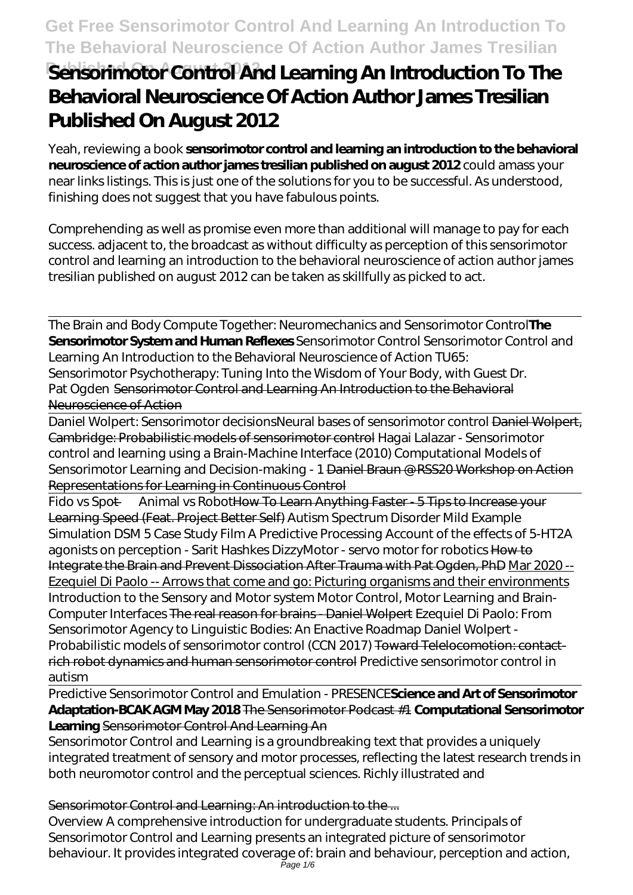# **Published Sensorimotor Control And Learning An Introduction To The Behavioral Neuroscience Of Action Author James Tresilian Published On August 2012**

Yeah, reviewing a book **sensorimotor control and learning an introduction to the behavioral neuroscience of action author james tresilian published on august 2012** could amass your near links listings. This is just one of the solutions for you to be successful. As understood, finishing does not suggest that you have fabulous points.

Comprehending as well as promise even more than additional will manage to pay for each success. adjacent to, the broadcast as without difficulty as perception of this sensorimotor control and learning an introduction to the behavioral neuroscience of action author james tresilian published on august 2012 can be taken as skillfully as picked to act.

The Brain and Body Compute Together: Neuromechanics and Sensorimotor Control**The Sensorimotor System and Human Reflexes** *Sensorimotor Control Sensorimotor Control and Learning An Introduction to the Behavioral Neuroscience of Action TU65: Sensorimotor Psychotherapy: Tuning Into the Wisdom of Your Body, with Guest Dr. Pat Ogden* Sensorimotor Control and Learning An Introduction to the Behavioral Neuroscience of Action

Daniel Wolpert: Sensorimotor decisions*Neural bases of sensorimotor control* Daniel Wolpert, Cambridge: Probabilistic models of sensorimotor control Hagai Lalazar - Sensorimotor control and learning using a Brain-Machine Interface (2010) *Computational Models of Sensorimotor Learning and Decision-making - 1* Daniel Braun @ RSS20 Workshop on Action Representations for Learning in Continuous Control

Fido vs Spot — Animal vs RobotHow To Learn Anything Faster - 5 Tips to Increase your Learning Speed (Feat. Project Better Self) Autism Spectrum Disorder Mild Example Simulation DSM 5 Case Study Film *A Predictive Processing Account of the effects of 5-HT2A agonists on perception - Sarit Hashkes DizzyMotor - servo motor for robotics* How to Integrate the Brain and Prevent Dissociation After Trauma with Pat Ogden, PhD Mar 2020 -- Ezequiel Di Paolo -- Arrows that come and go: Picturing organisms and their environments Introduction to the Sensory and Motor system Motor Control, Motor Learning and Brain-Computer Interfaces The real reason for brains - Daniel Wolpert *Ezequiel Di Paolo: From Sensorimotor Agency to Linguistic Bodies: An Enactive Roadmap Daniel Wolpert - Probabilistic models of sensorimotor control (CCN 2017)* Toward Telelocomotion: contactrich robot dynamics and human sensorimotor control *Predictive sensorimotor control in autism*

Predictive Sensorimotor Control and Emulation - PRESENCE**Science and Art of Sensorimotor Adaptation-BCAK AGM May 2018** The Sensorimotor Podcast #1 **Computational Sensorimotor Learning** Sensorimotor Control And Learning An

Sensorimotor Control and Learning is a groundbreaking text that provides a uniquely integrated treatment of sensory and motor processes, reflecting the latest research trends in both neuromotor control and the perceptual sciences. Richly illustrated and

Sensorimotor Control and Learning: An introduction to the ...

Overview A comprehensive introduction for undergraduate students. Principals of Sensorimotor Control and Learning presents an integrated picture of sensorimotor behaviour. It provides integrated coverage of: brain and behaviour, perception and action, Page 1/6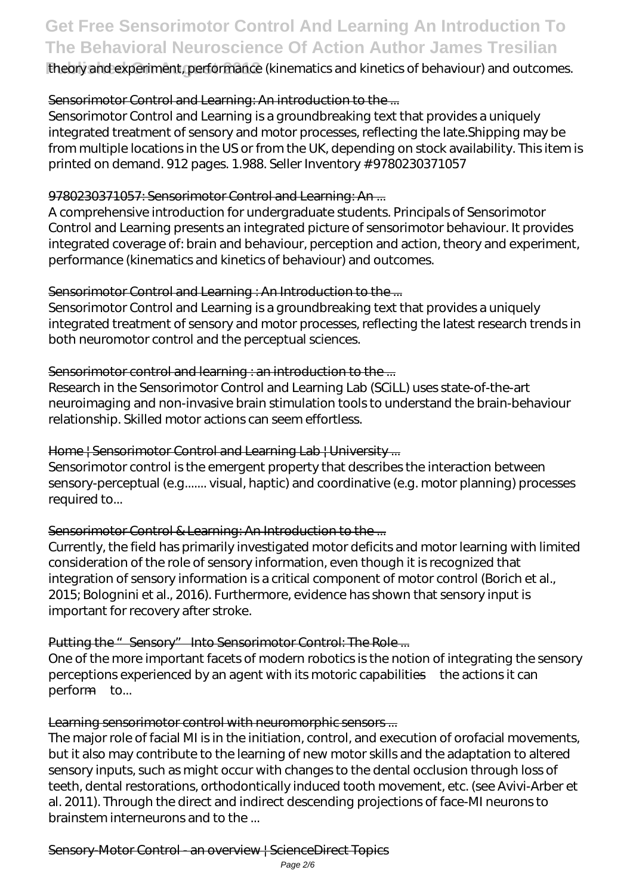**Published On August 2012** theory and experiment, performance (kinematics and kinetics of behaviour) and outcomes.

### Sensorimotor Control and Learning: An introduction to the ...

Sensorimotor Control and Learning is a groundbreaking text that provides a uniquely integrated treatment of sensory and motor processes, reflecting the late.Shipping may be from multiple locations in the US or from the UK, depending on stock availability. This item is printed on demand. 912 pages. 1.988. Seller Inventory # 9780230371057

### 9780230371057: Sensorimotor Control and Learning: An...

A comprehensive introduction for undergraduate students. Principals of Sensorimotor Control and Learning presents an integrated picture of sensorimotor behaviour. It provides integrated coverage of: brain and behaviour, perception and action, theory and experiment, performance (kinematics and kinetics of behaviour) and outcomes.

### Sensorimotor Control and Learning : An Introduction to the ...

Sensorimotor Control and Learning is a groundbreaking text that provides a uniquely integrated treatment of sensory and motor processes, reflecting the latest research trends in both neuromotor control and the perceptual sciences.

### Sensorimotor control and learning : an introduction to the ...

Research in the Sensorimotor Control and Learning Lab (SCiLL) uses state-of-the-art neuroimaging and non-invasive brain stimulation tools to understand the brain-behaviour relationship. Skilled motor actions can seem effortless.

### Home | Sensorimotor Control and Learning Lab | University ...

Sensorimotor control is the emergent property that describes the interaction between sensory-perceptual (e.g....... visual, haptic) and coordinative (e.g. motor planning) processes required to...

#### Sensorimotor Control & Learning: An Introduction to the ...

Currently, the field has primarily investigated motor deficits and motor learning with limited consideration of the role of sensory information, even though it is recognized that integration of sensory information is a critical component of motor control (Borich et al., 2015; Bolognini et al., 2016). Furthermore, evidence has shown that sensory input is important for recovery after stroke.

### Putting the " Sensory" Into Sensorimotor Control: The Role ...

One of the more important facets of modern robotics is the notion of integrating the sensory perceptions experienced by an agent with its motoric capabilities—the actions it can perform—to...

#### Learning sensorimotor control with neuromorphic sensors ...

The major role of facial MI is in the initiation, control, and execution of orofacial movements, but it also may contribute to the learning of new motor skills and the adaptation to altered sensory inputs, such as might occur with changes to the dental occlusion through loss of teeth, dental restorations, orthodontically induced tooth movement, etc. (see Avivi-Arber et al. 2011). Through the direct and indirect descending projections of face-MI neurons to brainstem interneurons and to the ...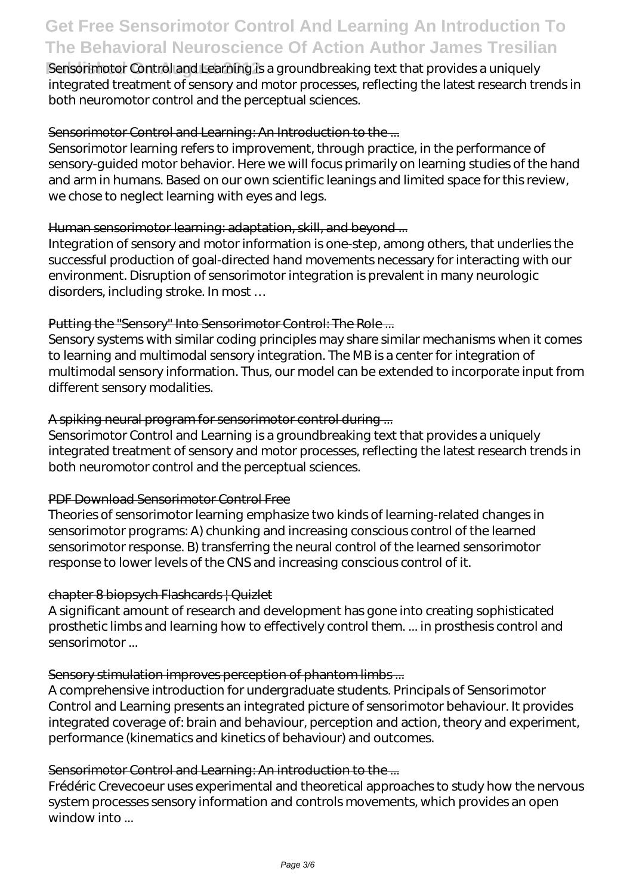**Published Control and Learning is a groundbreaking text that provides a uniquely** integrated treatment of sensory and motor processes, reflecting the latest research trends in both neuromotor control and the perceptual sciences.

#### Sensorimotor Control and Learning: An Introduction to the ...

Sensorimotor learning refers to improvement, through practice, in the performance of sensory-guided motor behavior. Here we will focus primarily on learning studies of the hand and arm in humans. Based on our own scientific leanings and limited space for this review, we chose to neglect learning with eyes and legs.

#### Human sensorimotor learning: adaptation, skill, and beyond ...

Integration of sensory and motor information is one-step, among others, that underlies the successful production of goal-directed hand movements necessary for interacting with our environment. Disruption of sensorimotor integration is prevalent in many neurologic disorders, including stroke. In most …

#### Putting the "Sensory" Into Sensorimotor Control: The Role ...

Sensory systems with similar coding principles may share similar mechanisms when it comes to learning and multimodal sensory integration. The MB is a center for integration of multimodal sensory information. Thus, our model can be extended to incorporate input from different sensory modalities.

#### A spiking neural program for sensorimotor control during ...

Sensorimotor Control and Learning is a groundbreaking text that provides a uniquely integrated treatment of sensory and motor processes, reflecting the latest research trends in both neuromotor control and the perceptual sciences.

#### PDF Download Sensorimotor Control Free

Theories of sensorimotor learning emphasize two kinds of learning-related changes in sensorimotor programs: A) chunking and increasing conscious control of the learned sensorimotor response. B) transferring the neural control of the learned sensorimotor response to lower levels of the CNS and increasing conscious control of it.

#### chapter 8 biopsych Flashcards | Quizlet

A significant amount of research and development has gone into creating sophisticated prosthetic limbs and learning how to effectively control them. ... in prosthesis control and sensorimotor ...

#### Sensory stimulation improves perception of phantom limbs ...

A comprehensive introduction for undergraduate students. Principals of Sensorimotor Control and Learning presents an integrated picture of sensorimotor behaviour. It provides integrated coverage of: brain and behaviour, perception and action, theory and experiment, performance (kinematics and kinetics of behaviour) and outcomes.

#### Sensorimotor Control and Learning: An introduction to the ...

Frédéric Crevecoeur uses experimental and theoretical approaches to study how the nervous system processes sensory information and controls movements, which provides an open window into ...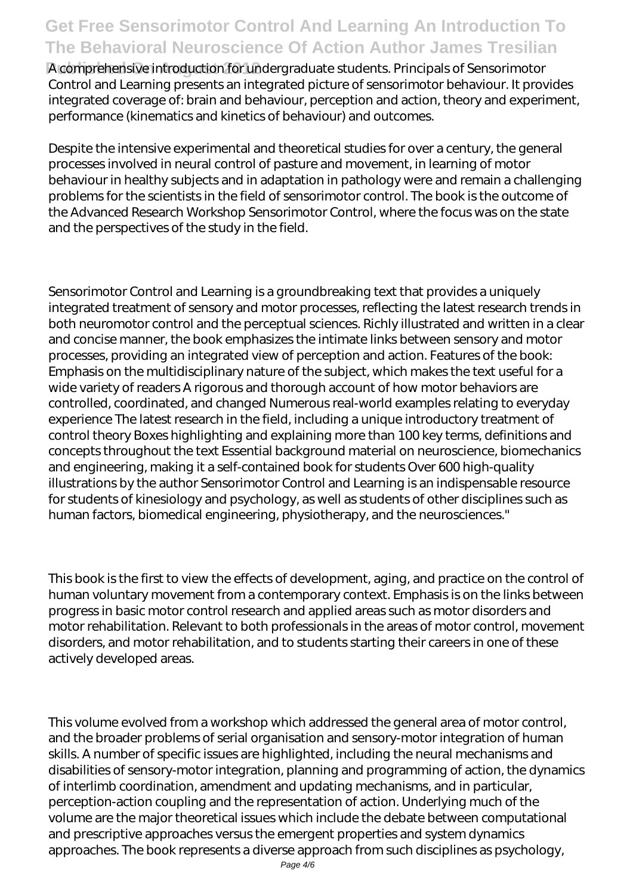**Published On August 2012** A comprehensive introduction for undergraduate students. Principals of Sensorimotor Control and Learning presents an integrated picture of sensorimotor behaviour. It provides integrated coverage of: brain and behaviour, perception and action, theory and experiment, performance (kinematics and kinetics of behaviour) and outcomes.

Despite the intensive experimental and theoretical studies for over a century, the general processes involved in neural control of pasture and movement, in learning of motor behaviour in healthy subjects and in adaptation in pathology were and remain a challenging problems for the scientists in the field of sensorimotor control. The book is the outcome of the Advanced Research Workshop Sensorimotor Control, where the focus was on the state and the perspectives of the study in the field.

Sensorimotor Control and Learning is a groundbreaking text that provides a uniquely integrated treatment of sensory and motor processes, reflecting the latest research trends in both neuromotor control and the perceptual sciences. Richly illustrated and written in a clear and concise manner, the book emphasizes the intimate links between sensory and motor processes, providing an integrated view of perception and action. Features of the book: Emphasis on the multidisciplinary nature of the subject, which makes the text useful for a wide variety of readers A rigorous and thorough account of how motor behaviors are controlled, coordinated, and changed Numerous real-world examples relating to everyday experience The latest research in the field, including a unique introductory treatment of control theory Boxes highlighting and explaining more than 100 key terms, definitions and concepts throughout the text Essential background material on neuroscience, biomechanics and engineering, making it a self-contained book for students Over 600 high-quality illustrations by the author Sensorimotor Control and Learning is an indispensable resource for students of kinesiology and psychology, as well as students of other disciplines such as human factors, biomedical engineering, physiotherapy, and the neurosciences."

This book is the first to view the effects of development, aging, and practice on the control of human voluntary movement from a contemporary context. Emphasis is on the links between progress in basic motor control research and applied areas such as motor disorders and motor rehabilitation. Relevant to both professionals in the areas of motor control, movement disorders, and motor rehabilitation, and to students starting their careers in one of these actively developed areas.

This volume evolved from a workshop which addressed the general area of motor control, and the broader problems of serial organisation and sensory-motor integration of human skills. A number of specific issues are highlighted, including the neural mechanisms and disabilities of sensory-motor integration, planning and programming of action, the dynamics of interlimb coordination, amendment and updating mechanisms, and in particular, perception-action coupling and the representation of action. Underlying much of the volume are the major theoretical issues which include the debate between computational and prescriptive approaches versus the emergent properties and system dynamics approaches. The book represents a diverse approach from such disciplines as psychology,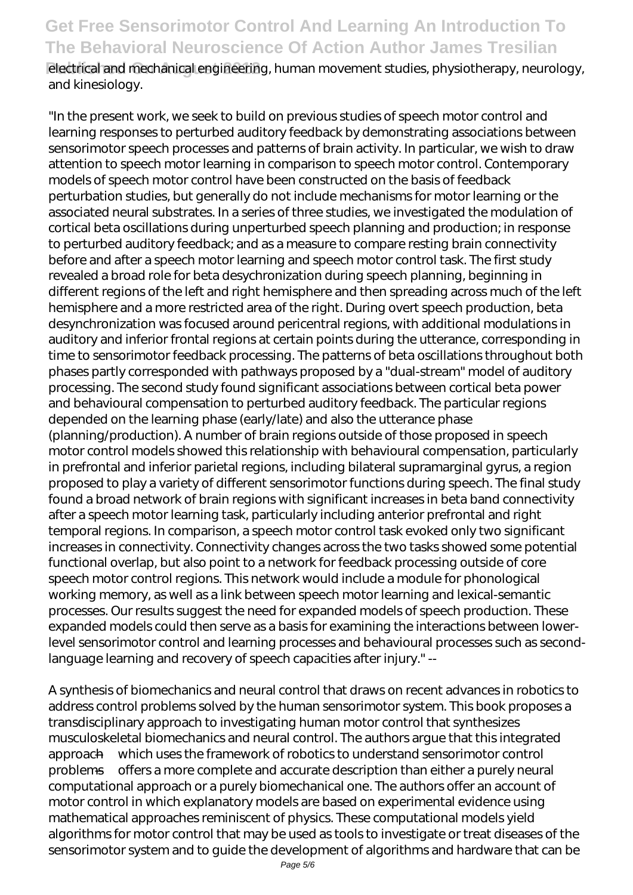**Published On August 2012** electrical and mechanical engineering, human movement studies, physiotherapy, neurology, and kinesiology.

"In the present work, we seek to build on previous studies of speech motor control and learning responses to perturbed auditory feedback by demonstrating associations between sensorimotor speech processes and patterns of brain activity. In particular, we wish to draw attention to speech motor learning in comparison to speech motor control. Contemporary models of speech motor control have been constructed on the basis of feedback perturbation studies, but generally do not include mechanisms for motor learning or the associated neural substrates. In a series of three studies, we investigated the modulation of cortical beta oscillations during unperturbed speech planning and production; in response to perturbed auditory feedback; and as a measure to compare resting brain connectivity before and after a speech motor learning and speech motor control task. The first study revealed a broad role for beta desychronization during speech planning, beginning in different regions of the left and right hemisphere and then spreading across much of the left hemisphere and a more restricted area of the right. During overt speech production, beta desynchronization was focused around pericentral regions, with additional modulations in auditory and inferior frontal regions at certain points during the utterance, corresponding in time to sensorimotor feedback processing. The patterns of beta oscillations throughout both phases partly corresponded with pathways proposed by a "dual-stream" model of auditory processing. The second study found significant associations between cortical beta power and behavioural compensation to perturbed auditory feedback. The particular regions depended on the learning phase (early/late) and also the utterance phase (planning/production). A number of brain regions outside of those proposed in speech motor control models showed this relationship with behavioural compensation, particularly in prefrontal and inferior parietal regions, including bilateral supramarginal gyrus, a region proposed to play a variety of different sensorimotor functions during speech. The final study found a broad network of brain regions with significant increases in beta band connectivity after a speech motor learning task, particularly including anterior prefrontal and right temporal regions. In comparison, a speech motor control task evoked only two significant increases in connectivity. Connectivity changes across the two tasks showed some potential functional overlap, but also point to a network for feedback processing outside of core speech motor control regions. This network would include a module for phonological working memory, as well as a link between speech motor learning and lexical-semantic processes. Our results suggest the need for expanded models of speech production. These expanded models could then serve as a basis for examining the interactions between lowerlevel sensorimotor control and learning processes and behavioural processes such as secondlanguage learning and recovery of speech capacities after injury." --

A synthesis of biomechanics and neural control that draws on recent advances in robotics to address control problems solved by the human sensorimotor system. This book proposes a transdisciplinary approach to investigating human motor control that synthesizes musculoskeletal biomechanics and neural control. The authors argue that this integrated approach—which uses the framework of robotics to understand sensorimotor control problems—offers a more complete and accurate description than either a purely neural computational approach or a purely biomechanical one. The authors offer an account of motor control in which explanatory models are based on experimental evidence using mathematical approaches reminiscent of physics. These computational models yield algorithms for motor control that may be used as tools to investigate or treat diseases of the sensorimotor system and to guide the development of algorithms and hardware that can be